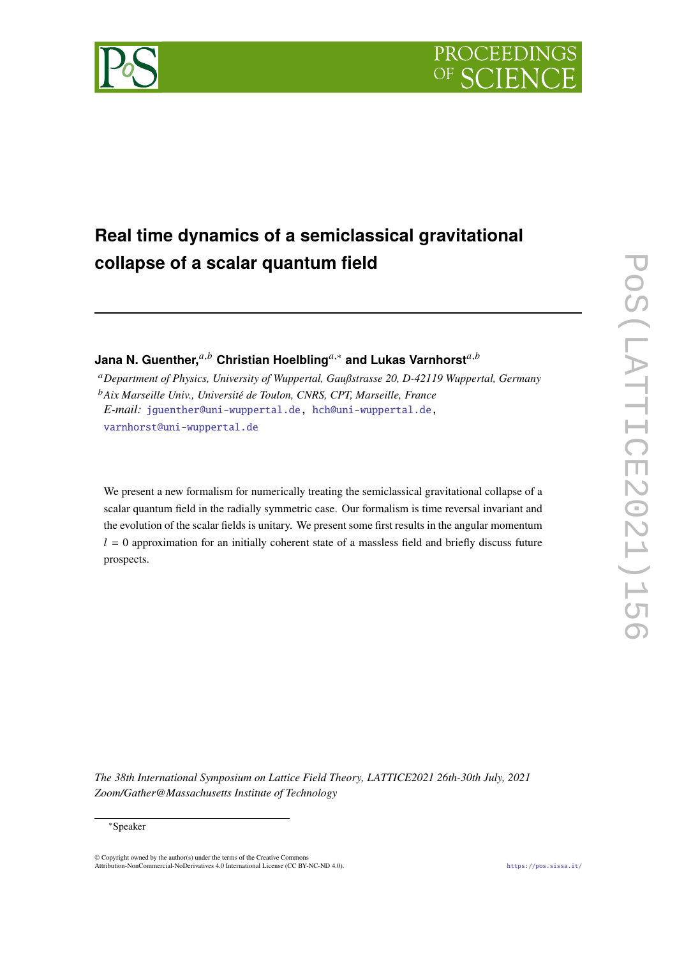

# **Real time dynamics of a semiclassical gravitational collapse of a scalar quantum field**

**Jana N. Guenther,**<sup>*a,b*</sup> Christian Hoelbling<sup>*a*,∗</sup> and Lukas Varnhorst<sup>*a,b*</sup>

*Department of Physics, University of Wuppertal, Gaußstrasse 20, D-42119 Wuppertal, Germany Aix Marseille Univ., Université de Toulon, CNRS, CPT, Marseille, France E-mail:* [jguenther@uni-wuppertal.de,](mailto:jguenther@uni-wuppertal.de) [hch@uni-wuppertal.de,](mailto:hch@uni-wuppertal.de) [varnhorst@uni-wuppertal.de](mailto:varnhorst@uni-wuppertal.de)

We present a new formalism for numerically treating the semiclassical gravitational collapse of a scalar quantum field in the radially symmetric case. Our formalism is time reversal invariant and the evolution of the scalar fields is unitary. We present some first results in the angular momentum  $l = 0$  approximation for an initially coherent state of a massless field and briefly discuss future prospects.

*The 38th International Symposium on Lattice Field Theory, LATTICE2021 26th-30th July, 2021 Zoom/Gather@Massachusetts Institute of Technology*

#### <sup>∗</sup>Speaker

© Copyright owned by the author(s) under the terms of the Creative Common Attribution-NonCommercial-NoDerivatives 4.0 International License (CC BY-NC-ND 4.0). <https://pos.sissa.it/>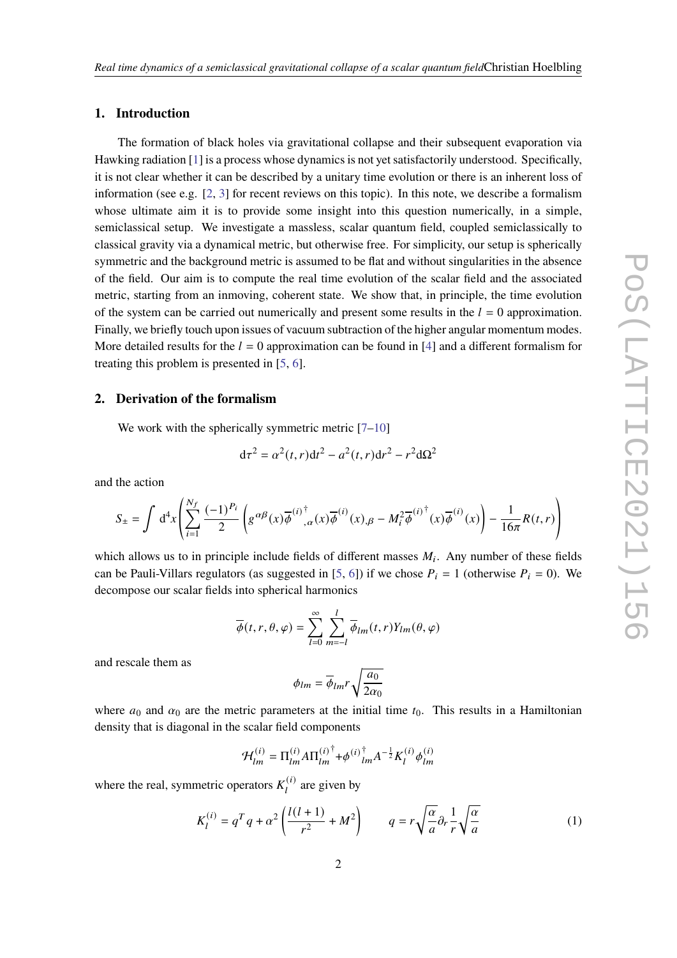# **1. Introduction**

The formation of black holes via gravitational collapse and their subsequent evaporation via Hawking radiation [\[1\]](#page-6-0) is a process whose dynamics is not yet satisfactorily understood. Specifically, it is not clear whether it can be described by a unitary time evolution or there is an inherent loss of information (see e.g. [\[2,](#page-6-1) [3\]](#page-6-2) for recent reviews on this topic). In this note, we describe a formalism whose ultimate aim it is to provide some insight into this question numerically, in a simple, semiclassical setup. We investigate a massless, scalar quantum field, coupled semiclassically to classical gravity via a dynamical metric, but otherwise free. For simplicity, our setup is spherically symmetric and the background metric is assumed to be flat and without singularities in the absence of the field. Our aim is to compute the real time evolution of the scalar field and the associated metric, starting from an inmoving, coherent state. We show that, in principle, the time evolution of the system can be carried out numerically and present some results in the  $l = 0$  approximation. Finally, we briefly touch upon issues of vacuum subtraction of the higher angular momentum modes. More detailed results for the  $l = 0$  approximation can be found in [\[4\]](#page-7-0) and a different formalism for treating this problem is presented in [\[5,](#page-7-1) [6\]](#page-7-2).

### **2. Derivation of the formalism**

We work with the spherically symmetric metric  $[7-10]$  $[7-10]$ 

$$
d\tau^{2} = \alpha^{2}(t, r)dt^{2} - a^{2}(t, r)dr^{2} - r^{2}d\Omega^{2}
$$

and the action

$$
S_{\pm} = \int d^4x \left( \sum_{i=1}^{N_f} \frac{(-1)^{P_i}}{2} \left( g^{\alpha \beta}(x) \overline{\phi}^{(i)^\dagger}_{,\alpha}(x) \overline{\phi}^{(i)}(x),_{\beta} - M_i^2 \overline{\phi}^{(i)^\dagger}(x) \overline{\phi}^{(i)}(x) \right) - \frac{1}{16\pi} R(t,r) \right)
$$

which allows us to in principle include fields of different masses  $M_i$ . Any number of these fields can be Pauli-Villars regulators (as suggested in [\[5,](#page-7-1) [6\]](#page-7-2)) if we chose  $P_i = 1$  (otherwise  $P_i = 0$ ). We decompose our scalar fields into spherical harmonics

$$
\overline{\phi}(t,r,\theta,\varphi) = \sum_{l=0}^{\infty} \sum_{m=-l}^{l} \overline{\phi}_{lm}(t,r) Y_{lm}(\theta,\varphi)
$$

and rescale them as

$$
\phi_{lm}=\overline{\phi}_{lm}r\sqrt{\frac{a_0}{2\alpha_0}}
$$

where  $a_0$  and  $\alpha_0$  are the metric parameters at the initial time  $t_0$ . This results in a Hamiltonian density that is diagonal in the scalar field components

$$
\mathcal{H}_{lm}^{(i)} = \Pi_{lm}^{(i)} A \Pi_{lm}^{(i)\dagger} + \phi^{(i)\dagger}_{lm} A^{-\frac{1}{2}} K_{l}^{(i)} \phi_{lm}^{(i)}
$$

where the real, symmetric operators  $K_l^{(i)}$  $\mu^{(t)}$  are given by

<span id="page-1-0"></span>
$$
K_l^{(i)} = q^T q + \alpha^2 \left(\frac{l(l+1)}{r^2} + M^2\right) \qquad q = r \sqrt{\frac{\alpha}{a}} \partial_r \frac{1}{r} \sqrt{\frac{\alpha}{a}} \tag{1}
$$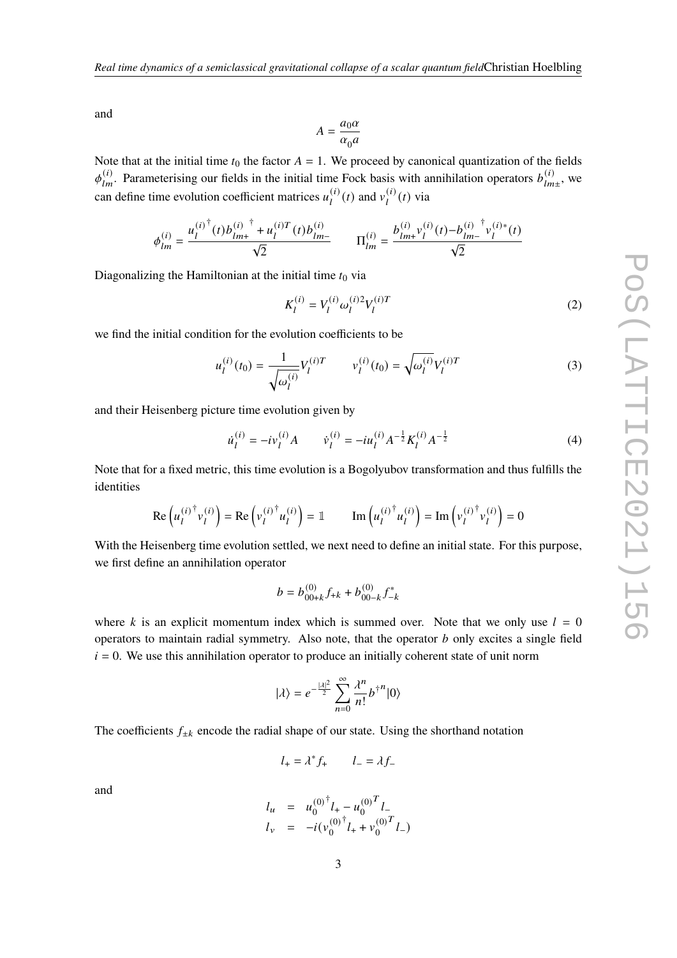and

$$
A = \frac{a_0 \alpha}{\alpha_0 a}
$$

Note that at the initial time  $t_0$  the factor  $A = 1$ . We proceed by canonical quantization of the fields  $\phi_{lm}^{(i)}$ . Parameterising our fields in the initial time Fock basis with annihilation operators  $b_{lm}^{(i)}$  $\frac{u}{lm\pm}$ , we can define time evolution coefficient matrices  $u_l^{(i)}$  $\binom{i}{l}(t)$  and  $v_l^{(i)}$  $l^{(i)}(t)$  via

$$
\phi_{lm}^{(i)} = \frac{u_l^{(i)^\dagger}(t)b_{lm+}^{(i)^\dagger} + u_l^{(i)T}(t)b_{lm-}^{(i)}}{\sqrt{2}} \qquad \Pi_{lm}^{(i)} = \frac{b_{lm+}^{(i)}v_l^{(i)}(t) - b_{lm-}^{(i)^\dagger}v_l^{(i)*}(t)}{\sqrt{2}}
$$

Diagonalizing the Hamiltonian at the initial time  $t_0$  via

<span id="page-2-1"></span>
$$
K_l^{(i)} = V_l^{(i)} \omega_l^{(i)2} V_l^{(i)T}
$$
 (2)

we find the initial condition for the evolution coefficients to be

<span id="page-2-2"></span>
$$
u_l^{(i)}(t_0) = \frac{1}{\sqrt{\omega_l^{(i)}}} V_l^{(i)T} \qquad v_l^{(i)}(t_0) = \sqrt{\omega_l^{(i)}} V_l^{(i)T} \tag{3}
$$

and their Heisenberg picture time evolution given by

<span id="page-2-0"></span>
$$
\dot{u}_l^{(i)} = -i v_l^{(i)} A \qquad \dot{v}_l^{(i)} = -i u_l^{(i)} A^{-\frac{1}{2}} K_l^{(i)} A^{-\frac{1}{2}} \tag{4}
$$

Note that for a fixed metric, this time evolution is a Bogolyubov transformation and thus fulfills the identities

$$
\operatorname{Re}\left(u_l^{(i)^\dagger} v_l^{(i)}\right) = \operatorname{Re}\left(v_l^{(i)^\dagger} u_l^{(i)}\right) = \mathbb{1} \qquad \operatorname{Im}\left(u_l^{(i)^\dagger} u_l^{(i)}\right) = \operatorname{Im}\left(v_l^{(i)^\dagger} v_l^{(i)}\right) = 0
$$

With the Heisenberg time evolution settled, we next need to define an initial state. For this purpose, we first define an annihilation operator

$$
b = b_{00+k}^{(0)} f_{+k} + b_{00-k}^{(0)} f_{-k}^*
$$

where k is an explicit momentum index which is summed over. Note that we only use  $l = 0$ operators to maintain radial symmetry. Also note, that the operator  $b$  only excites a single field  $i = 0$ . We use this annihilation operator to produce an initially coherent state of unit norm

$$
|\lambda\rangle = e^{-\frac{|\lambda|^2}{2}} \sum_{n=0}^{\infty} \frac{\lambda^n}{n!} b^{\dagger n} |0\rangle
$$

The coefficients  $f_{\pm k}$  encode the radial shape of our state. Using the shorthand notation

$$
l_{+} = \lambda^* f_{+} \qquad l_{-} = \lambda f_{-}
$$

and

$$
l_u = u_0^{(0)^{\dagger}} l_+ - u_0^{(0)^T} l_-
$$
  
\n
$$
l_v = -i(v_0^{(0)^{\dagger}} l_+ + v_0^{(0)^T} l_-)
$$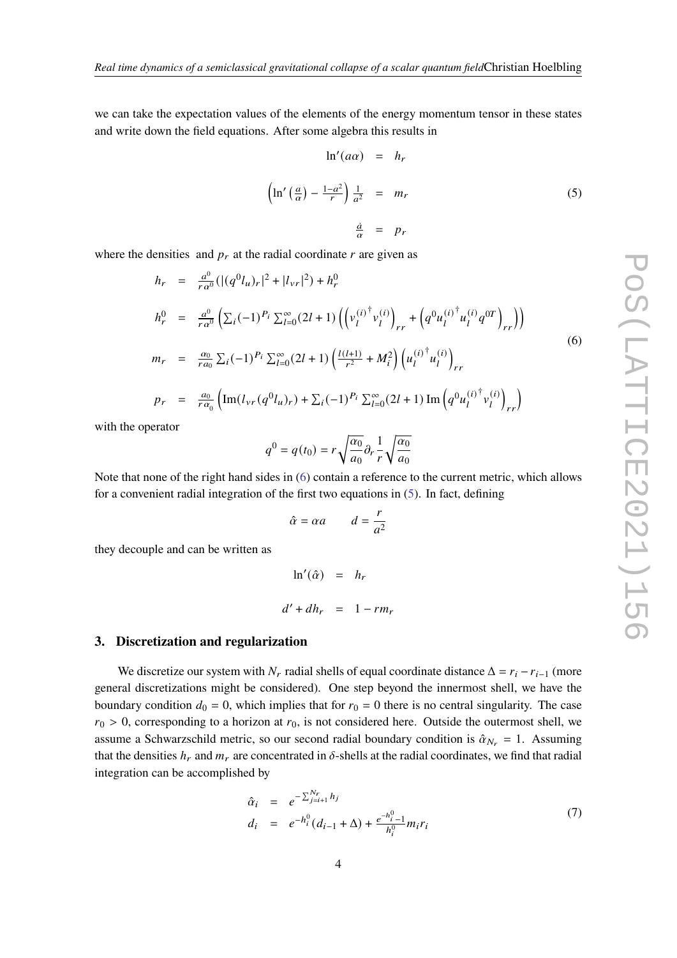we can take the expectation values of the elements of the energy momentum tensor in these states and write down the field equations. After some algebra this results in

<span id="page-3-1"></span>
$$
\ln'(a\alpha) = h_r
$$
  

$$
\left(\ln'\left(\frac{a}{\alpha}\right) - \frac{1 - a^2}{r}\right) \frac{1}{a^2} = m_r
$$
  

$$
\frac{\dot{a}}{\alpha} = p_r
$$
 (5)

where the densities and  $p_r$  at the radial coordinate  $r$  are given as

<span id="page-3-0"></span>
$$
h_r = \frac{a^0}{r a^0} (|(q^0 l_u)_r|^2 + |l_{vr}|^2) + h_r^0
$$
  
\n
$$
h_r^0 = \frac{a^0}{r a^0} \left( \sum_i (-1)^{P_i} \sum_{l=0}^{\infty} (2l+1) \left( \left( v_l^{(i)^\dagger} v_l^{(i)} \right)_{rr} + \left( q^0 u_l^{(i)^\dagger} u_l^{(i)} q^{0T} \right)_{rr} \right) \right)
$$
  
\n
$$
m_r = \frac{a_0}{r a_0} \sum_i (-1)^{P_i} \sum_{l=0}^{\infty} (2l+1) \left( \frac{l(l+1)}{r^2} + M_i^2 \right) \left( u_l^{(i)^\dagger} u_l^{(i)} \right)_{rr}
$$
  
\n
$$
n_r = \frac{a_0}{r a_0} \left( \text{Im}(l - (a^0 l + 1) + \sum_i (-1)^{P_i} \sum_{l=0}^{\infty} (2l+1) \text{Im} \left( a_0^{0} u_l^{(i)^\dagger} v_l^{(i)} \right) \right)
$$
  
\n(6)

$$
p_r = \frac{a_0}{r a_0} \left( \text{Im}(l_{vr}(q^0 l_u)_r) + \sum_i (-1)^{P_i} \sum_{l=0}^{\infty} (2l+1) \text{Im} \left( q^0 u_l^{(i)^\dagger} v_l^{(i)} \right)_{rr} \right)
$$

with the operator

$$
q^0 = q(t_0) = r \sqrt{\frac{\alpha_0}{a_0}} \partial_r \frac{1}{r} \sqrt{\frac{\alpha_0}{a_0}}
$$

Note that none of the right hand sides in [\(6\)](#page-3-0) contain a reference to the current metric, which allows for a convenient radial integration of the first two equations in [\(5\)](#page-3-1). In fact, defining

$$
\hat{\alpha} = \alpha a \qquad d = \frac{r}{a^2}
$$

they decouple and can be written as

$$
\ln'(\hat{\alpha}) = h_r
$$
  

$$
d' + dh_r = 1 - rm_r
$$

# **3. Discretization and regularization**

We discretize our system with  $N_r$  radial shells of equal coordinate distance  $\Delta = r_i - r_{i-1}$  (more general discretizations might be considered). One step beyond the innermost shell, we have the boundary condition  $d_0 = 0$ , which implies that for  $r_0 = 0$  there is no central singularity. The case  $r_0 > 0$ , corresponding to a horizon at  $r_0$ , is not considered here. Outside the outermost shell, we assume a Schwarzschild metric, so our second radial boundary condition is  $\hat{\alpha}_{N_r} = 1$ . Assuming that the densities  $h_r$  and  $m_r$  are concentrated in  $\delta$ -shells at the radial coordinates, we find that radial integration can be accomplished by

<span id="page-3-2"></span>
$$
\hat{\alpha}_i = e^{-\sum_{j=i+1}^{N_r} h_j} \nd_i = e^{-h_i^0} (d_{i-1} + \Delta) + \frac{e^{-h_{i-1}^0}}{h_i^0} m_i r_i
$$
\n(7)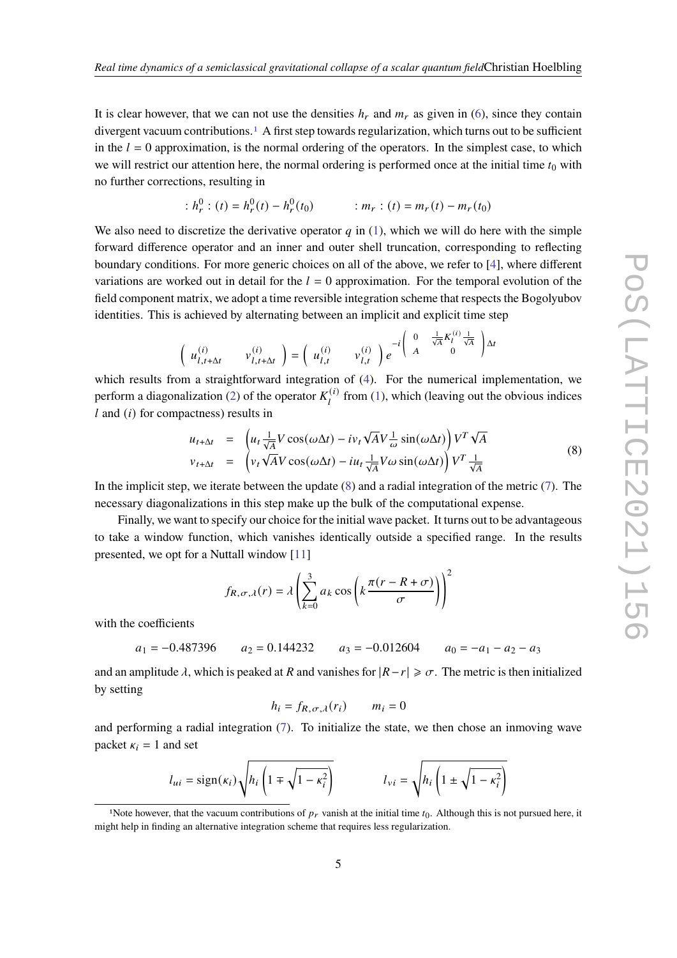It is clear however, that we can not use the densities  $h_r$  and  $m_r$  as given in [\(6\)](#page-3-0), since they contain divergent vacuum contributions.[1](#page-4-0) A first step towards regularization, which turns out to be sufficient in the  $l = 0$  approximation, is the normal ordering of the operators. In the simplest case, to which we will restrict our attention here, the normal ordering is performed once at the initial time  $t_0$  with no further corrections, resulting in

$$
h_r^0 : (t) = h_r^0(t) - h_r^0(t_0) \qquad \qquad : m_r : (t) = m_r(t) - m_r(t_0)
$$

We also need to discretize the derivative operator  $q$  in [\(1\)](#page-1-0), which we will do here with the simple forward difference operator and an inner and outer shell truncation, corresponding to reflecting boundary conditions. For more generic choices on all of the above, we refer to [\[4\]](#page-7-0), where different variations are worked out in detail for the  $l = 0$  approximation. For the temporal evolution of the field component matrix, we adopt a time reversible integration scheme that respects the Bogolyubov identities. This is achieved by alternating between an implicit and explicit time step

$$
\left(\begin{array}{cc}u_{l,t+\Delta t}^{(i)} & v_{l,t+\Delta t}^{(i)}\end{array}\right)=\left(\begin{array}{cc}u_{l,t}^{(i)} & v_{l,t}^{(i)}\end{array}\right)e^{-i\begin{pmatrix}0 & \frac{1}{\sqrt{A}}K_l^{(i)}\frac{1}{\sqrt{A}}\\A & 0\end{pmatrix}\Delta t
$$

which results from a straightforward integration of [\(4\)](#page-2-0). For the numerical implementation, we perform a diagonalization [\(2\)](#page-2-1) of the operator  $K_l^{(i)}$  $f_l^{(t)}$  from [\(1\)](#page-1-0), which (leaving out the obvious indices  $l$  and  $(i)$  for compactness) results in

<span id="page-4-1"></span>
$$
u_{t+\Delta t} = \left( u_t \frac{1}{\sqrt{A}} V \cos(\omega \Delta t) - i v_t \sqrt{A} V \frac{1}{\omega} \sin(\omega \Delta t) \right) V^T \sqrt{A}
$$
  
\n
$$
v_{t+\Delta t} = \left( v_t \sqrt{A} V \cos(\omega \Delta t) - i u_t \frac{1}{\sqrt{A}} V \omega \sin(\omega \Delta t) \right) V^T \frac{1}{\sqrt{A}}
$$
\n(8)

In the implicit step, we iterate between the update [\(8\)](#page-4-1) and a radial integration of the metric [\(7\)](#page-3-2). The necessary diagonalizations in this step make up the bulk of the computational expense.

Finally, we want to specify our choice for the initial wave packet. It turns out to be advantageous to take a window function, which vanishes identically outside a specified range. In the results presented, we opt for a Nuttall window [\[11\]](#page-8-0)

$$
f_{R,\sigma,\lambda}(r) = \lambda \left( \sum_{k=0}^{3} a_k \cos \left( k \frac{\pi (r - R + \sigma)}{\sigma} \right) \right)^2
$$

with the coefficients

$$
a_1 = -0.487396
$$
  $a_2 = 0.144232$   $a_3 = -0.012604$   $a_0 = -a_1 - a_2 - a_3$ 

and an amplitude  $\lambda$ , which is peaked at R and vanishes for  $|R-r| \geq \sigma$ . The metric is then initialized by setting

$$
h_i = f_{R,\sigma,\lambda}(r_i) \qquad m_i = 0
$$

and performing a radial integration [\(7\)](#page-3-2). To initialize the state, we then chose an inmoving wave packet  $\kappa_i = 1$  and set

$$
l_{ui} = sign(\kappa_i) \sqrt{h_i \left(1 \mp \sqrt{1 - \kappa_i^2}\right)} \qquad l_{vi} = \sqrt{h_i \left(1 \pm \sqrt{1 - \kappa_i^2}\right)}
$$

<span id="page-4-0"></span><sup>&</sup>lt;sup>1</sup>Note however, that the vacuum contributions of  $p_r$  vanish at the initial time  $t_0$ . Although this is not pursued here, it might help in finding an alternative integration scheme that requires less regularization.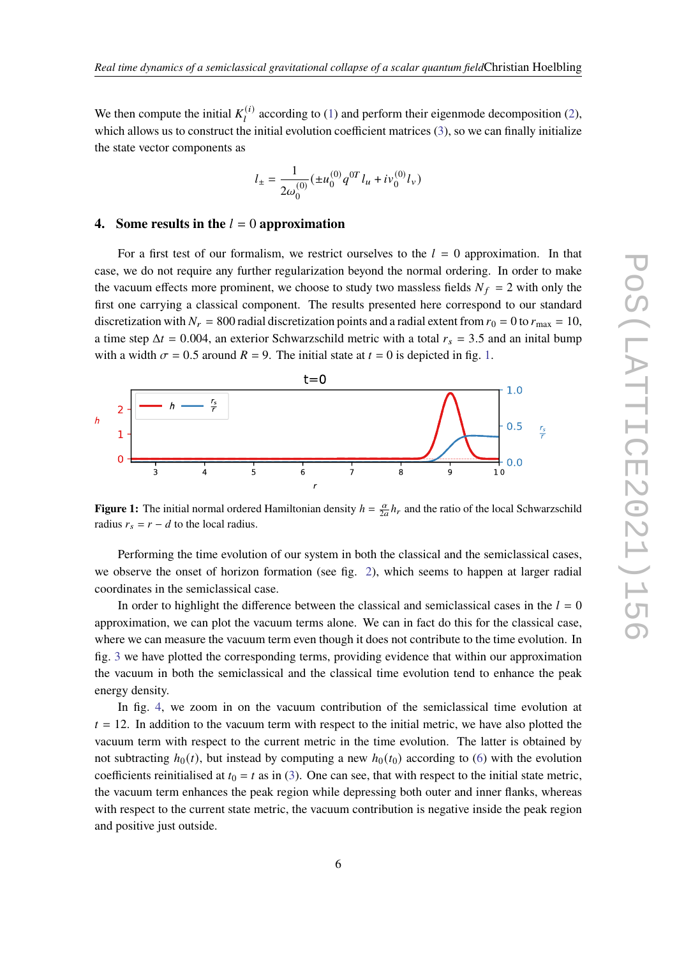We then compute the initial  $K_i^{(i)}$  $a_l^{(1)}$  $a_l^{(1)}$  $a_l^{(1)}$  according to (1) and perform their eigenmode decomposition [\(2\)](#page-2-1), which allows us to construct the initial evolution coefficient matrices [\(3\)](#page-2-2), so we can finally initialize the state vector components as

$$
l_{\pm}=\frac{1}{2\omega_0^{(0)}}(\pm u_0^{(0)}q^{0T}l_u+iv_0^{(0)}l_v)
$$

# **4.** Some results in the  $l = 0$  approximation

For a first test of our formalism, we restrict ourselves to the  $l = 0$  approximation. In that case, we do not require any further regularization beyond the normal ordering. In order to make the vacuum effects more prominent, we choose to study two massless fields  $N_f = 2$  with only the first one carrying a classical component. The results presented here correspond to our standard discretization with  $N_r = 800$  radial discretization points and a radial extent from  $r_0 = 0$  to  $r_{\text{max}} = 10$ , a time step  $\Delta t = 0.004$ , an exterior Schwarzschild metric with a total  $r_s = 3.5$  and an initial bump with a width  $\sigma = 0.5$  around  $R = 9$ . The initial state at  $t = 0$  is depicted in fig. [1.](#page-5-0)

<span id="page-5-0"></span>

**Figure 1:** The initial normal ordered Hamiltonian density  $h = \frac{\alpha}{2a} h_r$  and the ratio of the local Schwarzschild radius  $r_s = r - d$  to the local radius.

Performing the time evolution of our system in both the classical and the semiclassical cases, we observe the onset of horizon formation (see fig. [2\)](#page-6-3), which seems to happen at larger radial coordinates in the semiclassical case.

In order to highlight the difference between the classical and semiclassical cases in the  $l = 0$ approximation, we can plot the vacuum terms alone. We can in fact do this for the classical case, where we can measure the vacuum term even though it does not contribute to the time evolution. In fig. [3](#page-7-5) we have plotted the corresponding terms, providing evidence that within our approximation the vacuum in both the semiclassical and the classical time evolution tend to enhance the peak energy density.

In fig. [4,](#page-8-1) we zoom in on the vacuum contribution of the semiclassical time evolution at  $t = 12$ . In addition to the vacuum term with respect to the initial metric, we have also plotted the vacuum term with respect to the current metric in the time evolution. The latter is obtained by not subtracting  $h_0(t)$ , but instead by computing a new  $h_0(t_0)$  according to [\(6\)](#page-3-0) with the evolution coefficients reinitialised at  $t_0 = t$  as in [\(3\)](#page-2-2). One can see, that with respect to the initial state metric, the vacuum term enhances the peak region while depressing both outer and inner flanks, whereas with respect to the current state metric, the vacuum contribution is negative inside the peak region and positive just outside.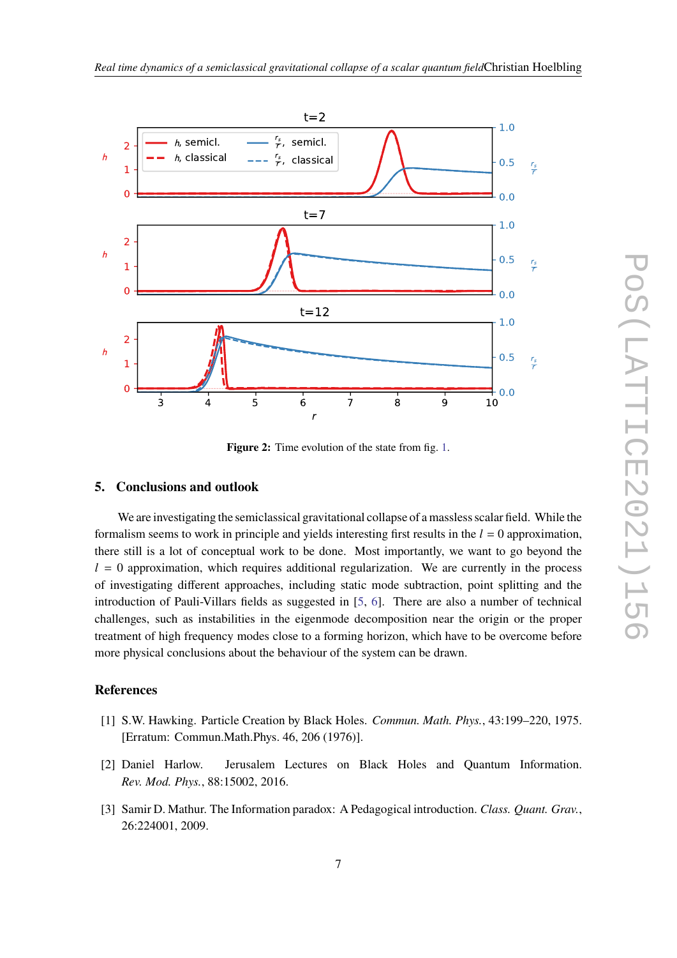<span id="page-6-3"></span>

**Figure 2:** Time evolution of the state from fig. [1.](#page-5-0)

# **5. Conclusions and outlook**

We are investigating the semiclassical gravitational collapse of a massless scalar field. While the formalism seems to work in principle and yields interesting first results in the  $l = 0$  approximation, there still is a lot of conceptual work to be done. Most importantly, we want to go beyond the  $l = 0$  approximation, which requires additional regularization. We are currently in the process of investigating different approaches, including static mode subtraction, point splitting and the introduction of Pauli-Villars fields as suggested in [\[5,](#page-7-1) [6\]](#page-7-2). There are also a number of technical challenges, such as instabilities in the eigenmode decomposition near the origin or the proper treatment of high frequency modes close to a forming horizon, which have to be overcome before more physical conclusions about the behaviour of the system can be drawn.

# **References**

- <span id="page-6-0"></span>[1] S.W. Hawking. Particle Creation by Black Holes. *Commun. Math. Phys.*, 43:199–220, 1975. [Erratum: Commun.Math.Phys. 46, 206 (1976)].
- <span id="page-6-1"></span>[2] Daniel Harlow. Jerusalem Lectures on Black Holes and Quantum Information. *Rev. Mod. Phys.*, 88:15002, 2016.
- <span id="page-6-2"></span>[3] Samir D. Mathur. The Information paradox: A Pedagogical introduction. *Class. Quant. Grav.*, 26:224001, 2009.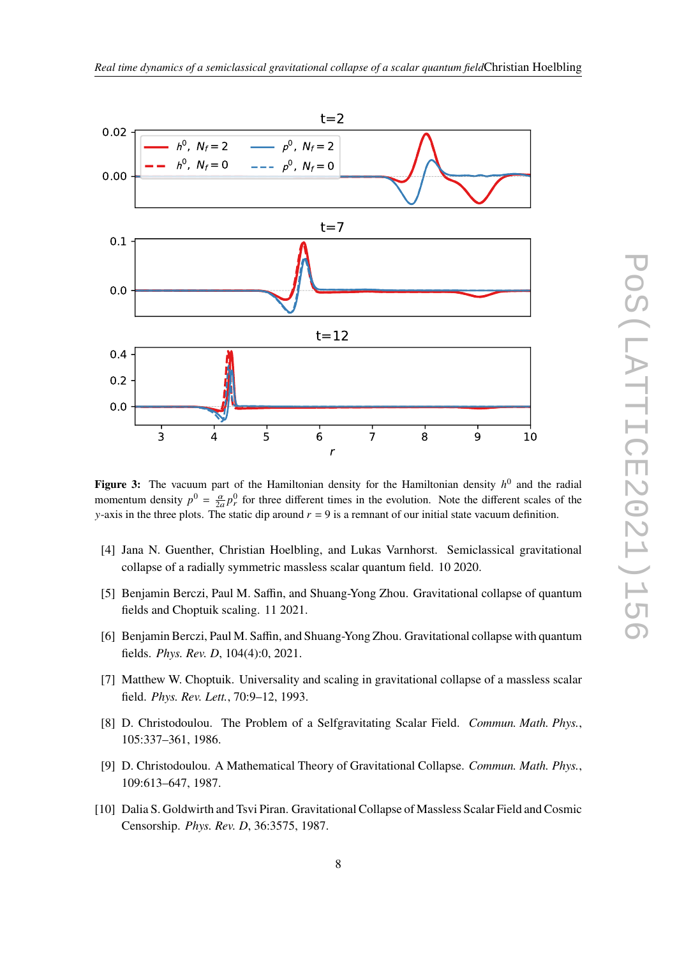<span id="page-7-5"></span>

**Figure 3:** The vacuum part of the Hamiltonian density for the Hamiltonian density  $h^0$  and the radial momentum density  $p^0 = \frac{\alpha}{2a} p_r^0$  for three different times in the evolution. Note the different scales of the y-axis in the three plots. The static dip around  $r = 9$  is a remnant of our initial state vacuum definition.

- <span id="page-7-0"></span>[4] Jana N. Guenther, Christian Hoelbling, and Lukas Varnhorst. Semiclassical gravitational collapse of a radially symmetric massless scalar quantum field. 10 2020.
- <span id="page-7-1"></span>[5] Benjamin Berczi, Paul M. Saffin, and Shuang-Yong Zhou. Gravitational collapse of quantum fields and Choptuik scaling. 11 2021.
- <span id="page-7-2"></span>[6] Benjamin Berczi, Paul M. Saffin, and Shuang-Yong Zhou. Gravitational collapse with quantum fields. *Phys. Rev. D*, 104(4):0, 2021.
- <span id="page-7-3"></span>[7] Matthew W. Choptuik. Universality and scaling in gravitational collapse of a massless scalar field. *Phys. Rev. Lett.*, 70:9–12, 1993.
- [8] D. Christodoulou. The Problem of a Selfgravitating Scalar Field. *Commun. Math. Phys.*, 105:337–361, 1986.
- [9] D. Christodoulou. A Mathematical Theory of Gravitational Collapse. *Commun. Math. Phys.*, 109:613–647, 1987.
- <span id="page-7-4"></span>[10] Dalia S. Goldwirth and Tsvi Piran. Gravitational Collapse of Massless Scalar Field and Cosmic Censorship. *Phys. Rev. D*, 36:3575, 1987.